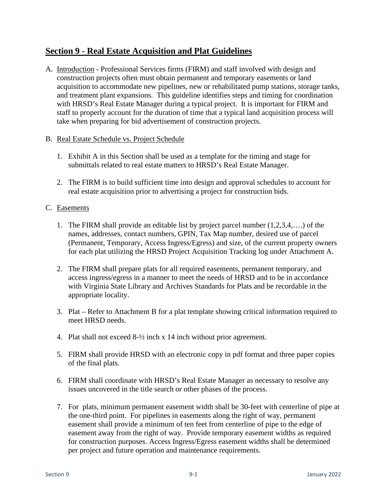## **Section 9 - Real Estate Acquisition and Plat Guidelines**

A. Introduction - Professional Services firms (FIRM) and staff involved with design and construction projects often must obtain permanent and temporary easements or land acquisition to accommodate new pipelines, new or rehabilitated pump stations, storage tanks, and treatment plant expansions. This guideline identifies steps and timing for coordination with HRSD's Real Estate Manager during a typical project. It is important for FIRM and staff to properly account for the duration of time that a typical land acquisition process will take when preparing for bid advertisement of construction projects.

## B. Real Estate Schedule vs. Project Schedule

- 1. Exhibit A in this Section shall be used as a template for the timing and stage for submittals related to real estate matters to HRSD's Real Estate Manager.
- 2. The FIRM is to build sufficient time into design and approval schedules to account for real estate acquisition prior to advertising a project for construction bids.

## C. Easements

- 1. The FIRM shall provide an editable list by project parcel number (1,2,3,4,….) of the names, addresses, contact numbers, GPIN, Tax Map number, desired use of parcel (Permanent, Temporary, Access Ingress/Egress) and size, of the current property owners for each plat utilizing the HRSD Project Acquisition Tracking log under Attachment A.
- 2. The FIRM shall prepare plats for all required easements, permanent temporary, and access ingress/egress in a manner to meet the needs of HRSD and to be in accordance with Virginia State Library and Archives Standards for Plats and be recordable in the appropriate locality.
- 3. Plat Refer to Attachment B for a plat template showing critical information required to meet HRSD needs.
- 4. Plat shall not exceed 8-½ inch x 14 inch without prior agreement.
- 5. FIRM shall provide HRSD with an electronic copy in pdf format and three paper copies of the final plats.
- 6. FIRM shall coordinate with HRSD's Real Estate Manager as necessary to resolve any issues uncovered in the title search or other phases of the process.
- 7. For plats, minimum permanent easement width shall be 30-feet with centerline of pipe at the one-third point. For pipelines in easements along the right of way, permanent easement shall provide a minimum of ten feet from centerline of pipe to the edge of easement away from the right of way. Provide temporary easement widths as required for construction purposes. Access Ingress/Egress easement widths shall be determined per project and future operation and maintenance requirements.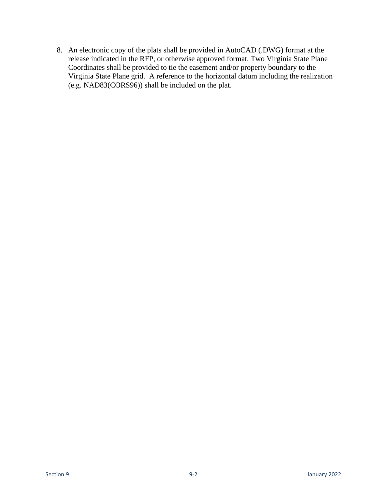8. An electronic copy of the plats shall be provided in AutoCAD (.DWG) format at the release indicated in the RFP, or otherwise approved format. Two Virginia State Plane Coordinates shall be provided to tie the easement and/or property boundary to the Virginia State Plane grid. A reference to the horizontal datum including the realization (e.g. NAD83(CORS96)) shall be included on the plat.